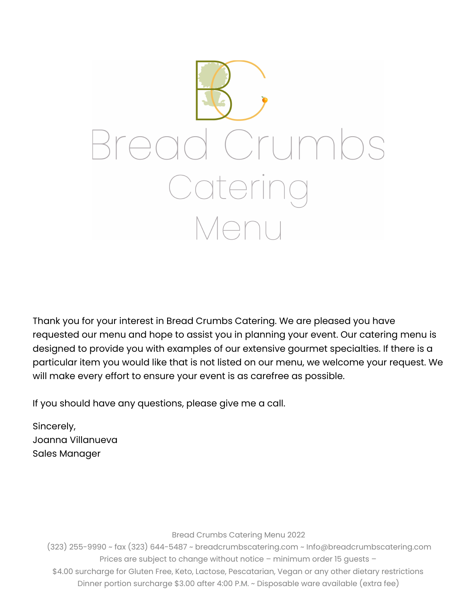

Thank you for your interest in Bread Crumbs Catering. We are pleased you have requested our menu and hope to assist you in planning your event. Our catering menu is designed to provide you with examples of our extensive gourmet specialties. If there is a particular item you would like that is not listed on our menu, we welcome your request. We will make every effort to ensure your event is as carefree as possible.

If you should have any questions, please give me a call.

Sincerely, Joanna Villanueva Sales Manager

Bread Crumbs Catering Menu 2022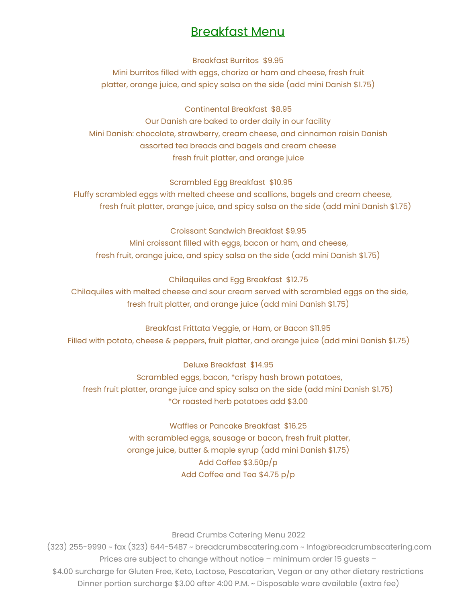### Breakfast Menu

Breakfast Burritos \$9.95

Mini burritos filled with eggs, chorizo or ham and cheese, fresh fruit platter, orange juice, and spicy salsa on the side (add mini Danish \$1.75)

Continental Breakfast \$8.95

Our Danish are baked to order daily in our facility Mini Danish: chocolate, strawberry, cream cheese, and cinnamon raisin Danish assorted tea breads and bagels and cream cheese fresh fruit platter, and orange juice

Scrambled Egg Breakfast \$10.95

Fluffy scrambled eggs with melted cheese and scallions, bagels and cream cheese, fresh fruit platter, orange juice, and spicy salsa on the side (add mini Danish \$1.75)

Croissant Sandwich Breakfast \$9.95 Mini croissant filled with eggs, bacon or ham, and cheese, fresh fruit, orange juice, and spicy salsa on the side (add mini Danish \$1.75)

Chilaquiles and Egg Breakfast \$12.75 Chilaquiles with melted cheese and sour cream served with scrambled eggs on the side, fresh fruit platter, and orange juice (add mini Danish \$1.75)

Breakfast Frittata Veggie, or Ham, or Bacon \$11.95 Filled with potato, cheese & peppers, fruit platter, and orange juice (add mini Danish \$1.75)

Deluxe Breakfast \$14.95 Scrambled eggs, bacon, \*crispy hash brown potatoes, fresh fruit platter, orange juice and spicy salsa on the side (add mini Danish \$1.75) \*Or roasted herb potatoes add \$3.00

> Waffles or Pancake Breakfast \$16.25 with scrambled eggs, sausage or bacon, fresh fruit platter, orange juice, butter & maple syrup (add mini Danish \$1.75) Add Coffee \$3.50p/p Add Coffee and Tea \$4.75 p/p

> > Bread Crumbs Catering Menu 2022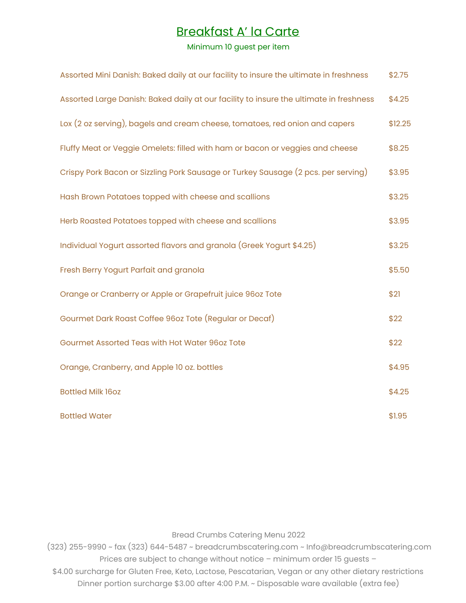### Breakfast A' la Carte

#### Minimum 10 guest per item

| Assorted Mini Danish: Baked daily at our facility to insure the ultimate in freshness  | \$2.75  |
|----------------------------------------------------------------------------------------|---------|
| Assorted Large Danish: Baked daily at our facility to insure the ultimate in freshness | \$4.25  |
| Lox (2 oz serving), bagels and cream cheese, tomatoes, red onion and capers            | \$12.25 |
| Fluffy Meat or Veggie Omelets: filled with ham or bacon or veggies and cheese          | \$8.25  |
| Crispy Pork Bacon or Sizzling Pork Sausage or Turkey Sausage (2 pcs. per serving)      | \$3.95  |
| Hash Brown Potatoes topped with cheese and scallions                                   | \$3.25  |
| Herb Roasted Potatoes topped with cheese and scallions                                 | \$3.95  |
| Individual Yogurt assorted flavors and granola (Greek Yogurt \$4.25)                   | \$3.25  |
| Fresh Berry Yogurt Parfait and granola                                                 | \$5.50  |
| Orange or Cranberry or Apple or Grapefruit juice 96oz Tote                             | \$21    |
| Gourmet Dark Roast Coffee 96oz Tote (Regular or Decaf)                                 | \$22    |
| Gourmet Assorted Teas with Hot Water 96oz Tote                                         | \$22    |
| Orange, Cranberry, and Apple 10 oz. bottles                                            | \$4.95  |
| <b>Bottled Milk 16oz</b>                                                               | \$4.25  |
| <b>Bottled Water</b>                                                                   | \$1.95  |

Bread Crumbs Catering Menu 2022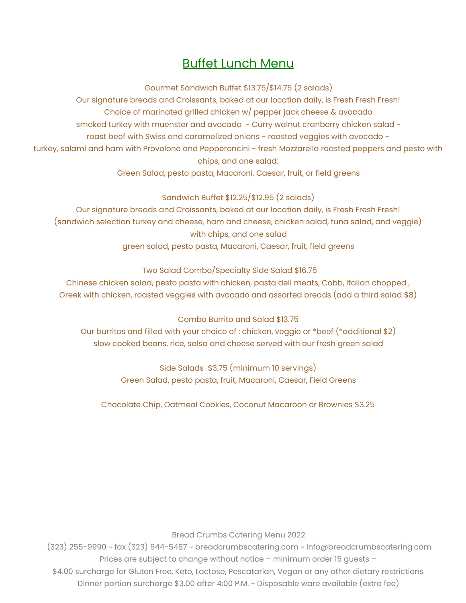## Buffet Lunch Menu

Gourmet Sandwich Buffet \$13.75/\$14.75 (2 salads)

Our signature breads and Croissants, baked at our location daily, is Fresh Fresh Fresh! Choice of marinated grilled chicken w/ pepper jack cheese & avocado smoked turkey with muenster and avocado - Curry walnut cranberry chicken salad roast beef with Swiss and caramelized onions - roasted veggies with avocado turkey, salami and ham with Provolone and Pepperoncini - fresh Mozzarella roasted peppers and pesto with chips, and one salad:

Green Salad, pesto pasta, Macaroni, Caesar, fruit, or field greens

#### Sandwich Buffet \$12.25/\$12.95 (2 salads)

Our signature breads and Croissants, baked at our location daily, is Fresh Fresh Fresh! (sandwich selection turkey and cheese, ham and cheese, chicken salad, tuna salad, and veggie) with chips, and one salad green salad, pesto pasta, Macaroni, Caesar, fruit, field greens

#### Two Salad Combo/Specialty Side Salad \$16.75

Chinese chicken salad, pesto pasta with chicken, pasta deli meats, Cobb, Italian chopped , Greek with chicken, roasted veggies with avocado and assorted breads (add a third salad \$8)

Combo Burrito and Salad \$13.75

Our burritos and filled with your choice of : chicken, veggie or \*beef (\*additional \$2) slow cooked beans, rice, salsa and cheese served with our fresh green salad

> Side Salads \$3.75 (minimum 10 servings) Green Salad, pesto pasta, fruit, Macaroni, Caesar, Field Greens

Chocolate Chip, Oatmeal Cookies, Coconut Macaroon or Brownies \$3.25

Bread Crumbs Catering Menu 2022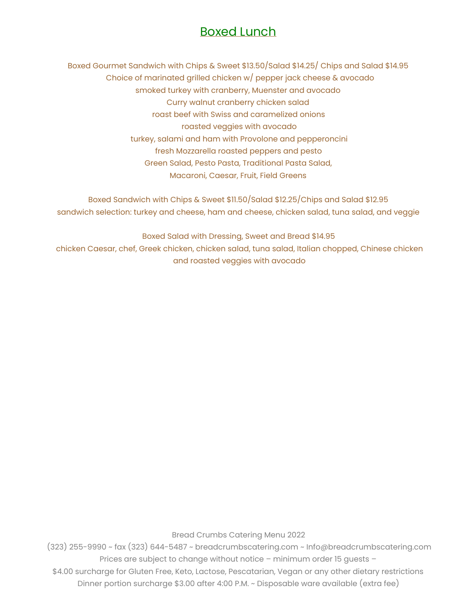### Boxed Lunch

Boxed Gourmet Sandwich with Chips & Sweet \$13.50/Salad \$14.25/ Chips and Salad \$14.95 Choice of marinated grilled chicken w/ pepper jack cheese & avocado smoked turkey with cranberry, Muenster and avocado Curry walnut cranberry chicken salad roast beef with Swiss and caramelized onions roasted veggies with avocado turkey, salami and ham with Provolone and pepperoncini fresh Mozzarella roasted peppers and pesto Green Salad, Pesto Pasta, Traditional Pasta Salad, Macaroni, Caesar, Fruit, Field Greens

Boxed Sandwich with Chips & Sweet \$11.50/Salad \$12.25/Chips and Salad \$12.95 sandwich selection: turkey and cheese, ham and cheese, chicken salad, tuna salad, and veggie

Boxed Salad with Dressing, Sweet and Bread \$14.95 chicken Caesar, chef, Greek chicken, chicken salad, tuna salad, Italian chopped, Chinese chicken and roasted veggies with avocado

Bread Crumbs Catering Menu 2022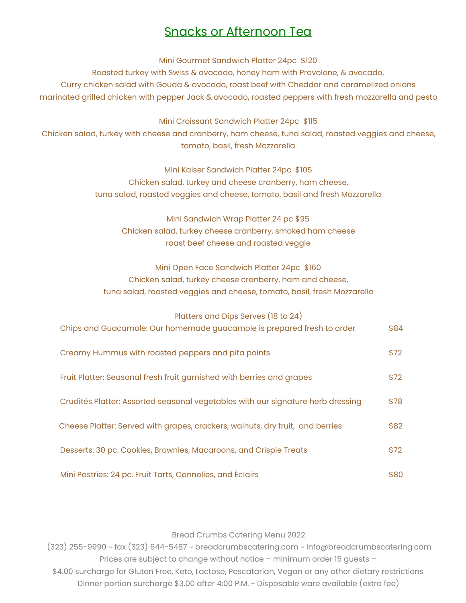### Snacks or Afternoon Tea

Mini Gourmet Sandwich Platter 24pc \$120

Roasted turkey with Swiss & avocado, honey ham with Provolone, & avocado, Curry chicken salad with Gouda & avocado, roast beef with Cheddar and caramelized onions marinated grilled chicken with pepper Jack & avocado, roasted peppers with fresh mozzarella and pesto

Mini Croissant Sandwich Platter 24pc \$115

Chicken salad, turkey with cheese and cranberry, ham cheese, tuna salad, roasted veggies and cheese, tomato, basil, fresh Mozzarella

> Mini Kaiser Sandwich Platter 24pc \$105 Chicken salad, turkey and cheese cranberry, ham cheese, tuna salad, roasted veggies and cheese, tomato, basil and fresh Mozzarella

Mini Sandwich Wrap Platter 24 pc \$95 Chicken salad, turkey cheese cranberry, smoked ham cheese roast beef cheese and roasted veggie

Mini Open Face Sandwich Platter 24pc \$160 Chicken salad, turkey cheese cranberry, ham and cheese, tuna salad, roasted veggies and cheese, tomato, basil, fresh Mozzarella

| Platters and Dips Serves (18 to 24)                                             |      |
|---------------------------------------------------------------------------------|------|
| Chips and Guacamole: Our homemade guacamole is prepared fresh to order          | \$84 |
| Creamy Hummus with roasted peppers and pita points                              | \$72 |
| Fruit Platter: Seasonal fresh fruit garnished with berries and grapes           | \$72 |
| Crudités Platter: Assorted seasonal vegetables with our signature herb dressing | \$78 |
| Cheese Platter: Served with grapes, crackers, walnuts, dry fruit, and berries   | \$82 |
| Desserts: 30 pc. Cookies, Brownies, Macaroons, and Crispie Treats               | \$72 |
| Mini Pastries: 24 pc. Fruit Tarts, Cannolies, and Éclairs                       | \$80 |

Bread Crumbs Catering Menu 2022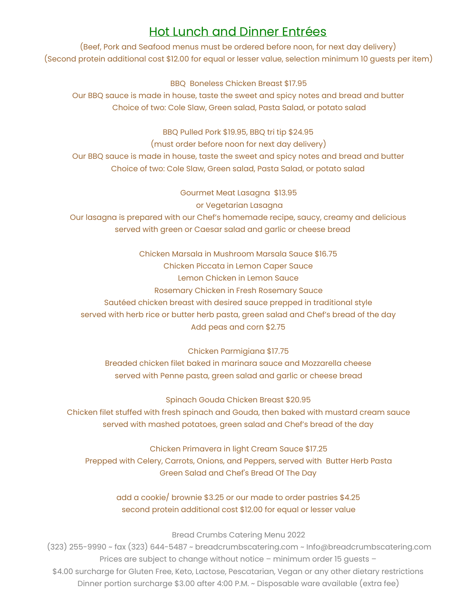## Hot Lunch and Dinner Entrées

(Beef, Pork and Seafood menus must be ordered before noon, for next day delivery) (Second protein additional cost \$12.00 for equal or lesser value, selection minimum 10 guests per item)

BBQ Boneless Chicken Breast \$17.95 Our BBQ sauce is made in house, taste the sweet and spicy notes and bread and butter Choice of two: Cole Slaw, Green salad, Pasta Salad, or potato salad

BBQ Pulled Pork \$19.95, BBQ tri tip \$24.95 (must order before noon for next day delivery) Our BBQ sauce is made in house, taste the sweet and spicy notes and bread and butter Choice of two: Cole Slaw, Green salad, Pasta Salad, or potato salad

Gourmet Meat Lasagna \$13.95 or Vegetarian Lasagna Our lasagna is prepared with our Chef's homemade recipe, saucy, creamy and delicious served with green or Caesar salad and garlic or cheese bread

Chicken Marsala in Mushroom Marsala Sauce \$16.75 Chicken Piccata in Lemon Caper Sauce Lemon Chicken in Lemon Sauce Rosemary Chicken in Fresh Rosemary Sauce Sautéed chicken breast with desired sauce prepped in traditional style served with herb rice or butter herb pasta, green salad and Chef's bread of the day Add peas and corn \$2.75

Chicken Parmigiana \$17.75 Breaded chicken filet baked in marinara sauce and Mozzarella cheese served with Penne pasta, green salad and garlic or cheese bread

Spinach Gouda Chicken Breast \$20.95 Chicken filet stuffed with fresh spinach and Gouda, then baked with mustard cream sauce served with mashed potatoes, green salad and Chef's bread of the day

Chicken Primavera in light Cream Sauce \$17.25 Prepped with Celery, Carrots, Onions, and Peppers, served with Butter Herb Pasta Green Salad and Chef's Bread Of The Day

> add a cookie/ brownie \$3.25 or our made to order pastries \$4.25 second protein additional cost \$12.00 for equal or lesser value

> > Bread Crumbs Catering Menu 2022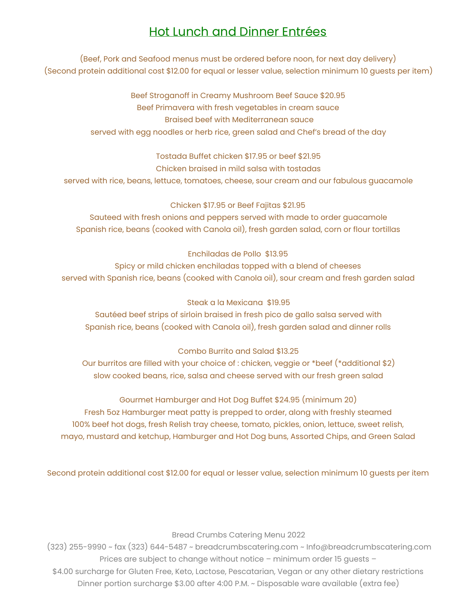## Hot Lunch and Dinner Entrées

(Beef, Pork and Seafood menus must be ordered before noon, for next day delivery) (Second protein additional cost \$12.00 for equal or lesser value, selection minimum 10 guests per item)

> Beef Stroganoff in Creamy Mushroom Beef Sauce \$20.95 Beef Primavera with fresh vegetables in cream sauce Braised beef with Mediterranean sauce served with egg noodles or herb rice, green salad and Chef's bread of the day

Tostada Buffet chicken \$17.95 or beef \$21.95 Chicken braised in mild salsa with tostadas served with rice, beans, lettuce, tomatoes, cheese, sour cream and our fabulous guacamole

#### Chicken \$17.95 or Beef Fajitas \$21.95

Sauteed with fresh onions and peppers served with made to order guacamole Spanish rice, beans (cooked with Canola oil), fresh garden salad, corn or flour tortillas

#### Enchiladas de Pollo \$13.95

Spicy or mild chicken enchiladas topped with a blend of cheeses served with Spanish rice, beans (cooked with Canola oil), sour cream and fresh garden salad

#### Steak a la Mexicana \$19.95

Sautéed beef strips of sirloin braised in fresh pico de gallo salsa served with Spanish rice, beans (cooked with Canola oil), fresh garden salad and dinner rolls

#### Combo Burrito and Salad \$13.25

Our burritos are filled with your choice of : chicken, veggie or \*beef (\*additional \$2) slow cooked beans, rice, salsa and cheese served with our fresh green salad

#### Gourmet Hamburger and Hot Dog Buffet \$24.95 (minimum 20)

Fresh 5oz Hamburger meat patty is prepped to order, along with freshly steamed 100% beef hot dogs, fresh Relish tray cheese, tomato, pickles, onion, lettuce, sweet relish, mayo, mustard and ketchup, Hamburger and Hot Dog buns, Assorted Chips, and Green Salad

Second protein additional cost \$12.00 for equal or lesser value, selection minimum 10 guests per item

Bread Crumbs Catering Menu 2022